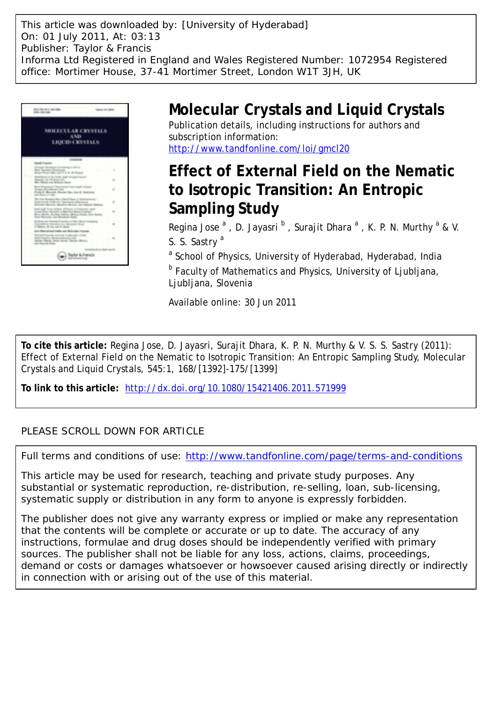This article was downloaded by: [University of Hyderabad] On: 01 July 2011, At: 03:13 Publisher: Taylor & Francis Informa Ltd Registered in England and Wales Registered Number: 1072954 Registered office: Mortimer House, 37-41 Mortimer Street, London W1T 3JH, UK



# **Molecular Crystals and Liquid Crystals**

Publication details, including instructions for authors and subscription information: <http://www.tandfonline.com/loi/gmcl20>

# **Effect of External Field on the Nematic to Isotropic Transition: An Entropic Sampling Study**

Regina Jose  $^{\mathsf{a}}$  , D. Jayasri  $^{\mathsf{b}}$  , Surajit Dhara  $^{\mathsf{a}}$  , K. P. N. Murthy  $^{\mathsf{a}}$  & V. S. S. Sastry<sup>a</sup>

<sup>a</sup> School of Physics, University of Hyderabad, Hyderabad, India **b Faculty of Mathematics and Physics, University of Ljubljana,** Ljubljana, Slovenia

Available online: 30 Jun 2011

**To cite this article:** Regina Jose, D. Jayasri, Surajit Dhara, K. P. N. Murthy & V. S. S. Sastry (2011): Effect of External Field on the Nematic to Isotropic Transition: An Entropic Sampling Study, Molecular Crystals and Liquid Crystals, 545:1, 168/[1392]-175/[1399]

**To link to this article:** <http://dx.doi.org/10.1080/15421406.2011.571999>

## PLEASE SCROLL DOWN FOR ARTICLE

Full terms and conditions of use:<http://www.tandfonline.com/page/terms-and-conditions>

This article may be used for research, teaching and private study purposes. Any substantial or systematic reproduction, re-distribution, re-selling, loan, sub-licensing, systematic supply or distribution in any form to anyone is expressly forbidden.

The publisher does not give any warranty express or implied or make any representation that the contents will be complete or accurate or up to date. The accuracy of any instructions, formulae and drug doses should be independently verified with primary sources. The publisher shall not be liable for any loss, actions, claims, proceedings, demand or costs or damages whatsoever or howsoever caused arising directly or indirectly in connection with or arising out of the use of this material.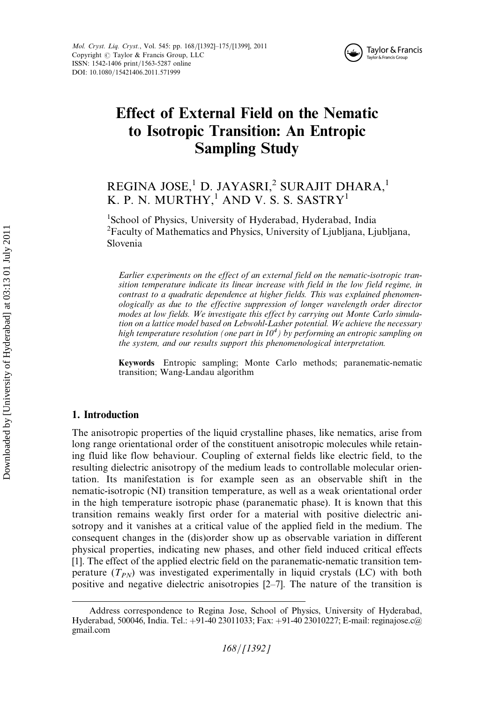

# Effect of External Field on the Nematic to Isotropic Transition: An Entropic Sampling Study

## REGINA JOSE,<sup>1</sup> D. JAYASRI,<sup>2</sup> SURAJIT DHARA,<sup>1</sup> K. P. N. MURTHY, $^1$  AND V. S. S. SASTRY $^1$

<sup>1</sup>School of Physics, University of Hyderabad, Hyderabad, India <sup>2</sup>Faculty of Mathematics and Physics, University of Ljubljana, Ljubljana, Slovenia

Earlier experiments on the effect of an external field on the nematic-isotropic transition temperature indicate its linear increase with field in the low field regime, in contrast to a quadratic dependence at higher fields. This was explained phenomenologically as due to the effective suppression of longer wavelength order director modes at low fields. We investigate this effect by carrying out Monte Carlo simulation on a lattice model based on Lebwohl-Lasher potential. We achieve the necessary high temperature resolution (one part in  $10^4$ ) by performing an entropic sampling on the system, and our results support this phenomenological interpretation.

Keywords Entropic sampling; Monte Carlo methods; paranematic-nematic transition; Wang-Landau algorithm

## 1. Introduction

The anisotropic properties of the liquid crystalline phases, like nematics, arise from long range orientational order of the constituent anisotropic molecules while retaining fluid like flow behaviour. Coupling of external fields like electric field, to the resulting dielectric anisotropy of the medium leads to controllable molecular orientation. Its manifestation is for example seen as an observable shift in the nematic-isotropic (NI) transition temperature, as well as a weak orientational order in the high temperature isotropic phase (paranematic phase). It is known that this transition remains weakly first order for a material with positive dielectric anisotropy and it vanishes at a critical value of the applied field in the medium. The consequent changes in the (dis)order show up as observable variation in different physical properties, indicating new phases, and other field induced critical effects [1]. The effect of the applied electric field on the paranematic-nematic transition temperature  $(T_{PN})$  was investigated experimentally in liquid crystals (LC) with both positive and negative dielectric anisotropies [2–7]. The nature of the transition is

Address correspondence to Regina Jose, School of Physics, University of Hyderabad, Hyderabad, 500046, India. Tel.: +91-40 23011033; Fax: +91-40 23010227; E-mail: reginajose.c@ gmail.com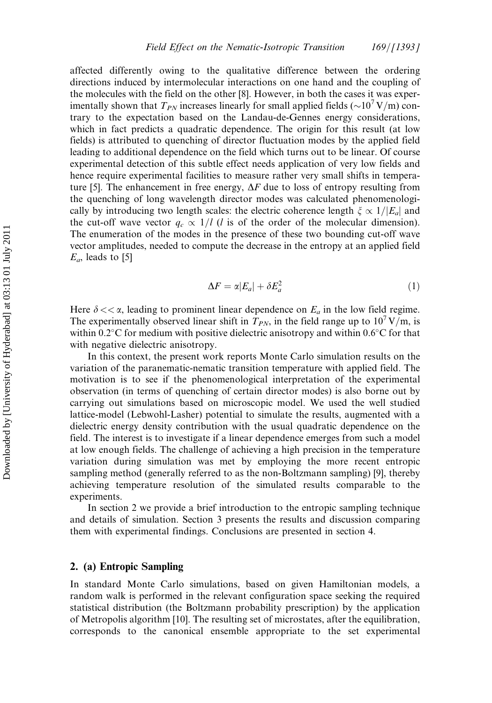affected differently owing to the qualitative difference between the ordering directions induced by intermolecular interactions on one hand and the coupling of the molecules with the field on the other [8]. However, in both the cases it was experimentally shown that  $T_{PN}$  increases linearly for small applied fields ( $\sim$ 10<sup>7</sup> V/m) contrary to the expectation based on the Landau-de-Gennes energy considerations, which in fact predicts a quadratic dependence. The origin for this result (at low fields) is attributed to quenching of director fluctuation modes by the applied field leading to additional dependence on the field which turns out to be linear. Of course experimental detection of this subtle effect needs application of very low fields and hence require experimental facilities to measure rather very small shifts in temperature [5]. The enhancement in free energy,  $\Delta F$  due to loss of entropy resulting from the quenching of long wavelength director modes was calculated phenomenologically by introducing two length scales: the electric coherence length  $\zeta \propto 1/|E_a|$  and the cut-off wave vector  $q_c \propto 1/l$  (l is of the order of the molecular dimension). The enumeration of the modes in the presence of these two bounding cut-off wave vector amplitudes, needed to compute the decrease in the entropy at an applied field  $E_a$ , leads to [5]

$$
\Delta F = \alpha |E_a| + \delta E_a^2 \tag{1}
$$

Here  $\delta \ll \alpha$ , leading to prominent linear dependence on  $E_a$  in the low field regime. The experimentally observed linear shift in  $T_{PN}$ , in the field range up to 10<sup>7</sup> V/m, is within 0.2 $\rm ^{\circ}C$  for medium with positive dielectric anisotropy and within 0.6 $\rm ^{\circ}C$  for that with negative dielectric anisotropy.

In this context, the present work reports Monte Carlo simulation results on the variation of the paranematic-nematic transition temperature with applied field. The motivation is to see if the phenomenological interpretation of the experimental observation (in terms of quenching of certain director modes) is also borne out by carrying out simulations based on microscopic model. We used the well studied lattice-model (Lebwohl-Lasher) potential to simulate the results, augmented with a dielectric energy density contribution with the usual quadratic dependence on the field. The interest is to investigate if a linear dependence emerges from such a model at low enough fields. The challenge of achieving a high precision in the temperature variation during simulation was met by employing the more recent entropic sampling method (generally referred to as the non-Boltzmann sampling) [9], thereby achieving temperature resolution of the simulated results comparable to the experiments.

In section 2 we provide a brief introduction to the entropic sampling technique and details of simulation. Section 3 presents the results and discussion comparing them with experimental findings. Conclusions are presented in section 4.

## 2. (a) Entropic Sampling

In standard Monte Carlo simulations, based on given Hamiltonian models, a random walk is performed in the relevant configuration space seeking the required statistical distribution (the Boltzmann probability prescription) by the application of Metropolis algorithm [10]. The resulting set of microstates, after the equilibration, corresponds to the canonical ensemble appropriate to the set experimental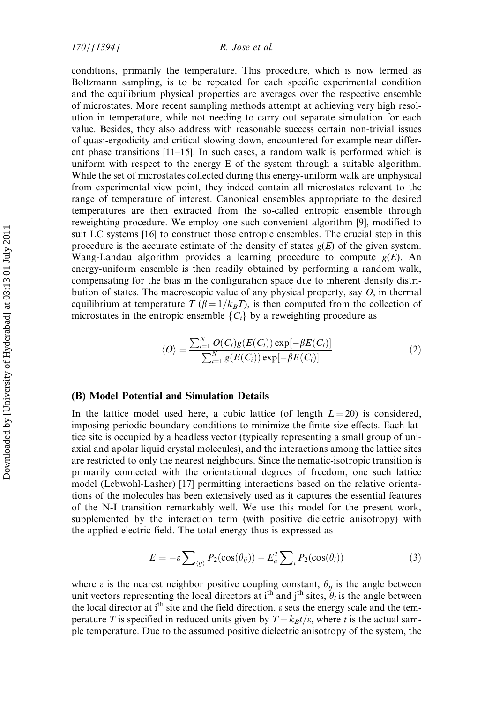conditions, primarily the temperature. This procedure, which is now termed as Boltzmann sampling, is to be repeated for each specific experimental condition and the equilibrium physical properties are averages over the respective ensemble of microstates. More recent sampling methods attempt at achieving very high resolution in temperature, while not needing to carry out separate simulation for each value. Besides, they also address with reasonable success certain non-trivial issues of quasi-ergodicity and critical slowing down, encountered for example near different phase transitions [11–15]. In such cases, a random walk is performed which is uniform with respect to the energy E of the system through a suitable algorithm. While the set of microstates collected during this energy-uniform walk are unphysical from experimental view point, they indeed contain all microstates relevant to the range of temperature of interest. Canonical ensembles appropriate to the desired temperatures are then extracted from the so-called entropic ensemble through reweighting procedure. We employ one such convenient algorithm [9], modified to suit LC systems [16] to construct those entropic ensembles. The crucial step in this procedure is the accurate estimate of the density of states  $g(E)$  of the given system. Wang-Landau algorithm provides a learning procedure to compute  $g(E)$ . An energy-uniform ensemble is then readily obtained by performing a random walk, compensating for the bias in the configuration space due to inherent density distribution of states. The macroscopic value of any physical property, say  $O$ , in thermal equilibrium at temperature T ( $\beta = 1/k_BT$ ), is then computed from the collection of microstates in the entropic ensemble  $\{C_i\}$  by a reweighting procedure as

$$
\langle O \rangle = \frac{\sum_{i=1}^{N} O(C_i) g(E(C_i)) \exp[-\beta E(C_i)]}{\sum_{i=1}^{N} g(E(C_i)) \exp[-\beta E(C_i)]}
$$
(2)

## (B) Model Potential and Simulation Details

In the lattice model used here, a cubic lattice (of length  $L = 20$ ) is considered, imposing periodic boundary conditions to minimize the finite size effects. Each lattice site is occupied by a headless vector (typically representing a small group of uniaxial and apolar liquid crystal molecules), and the interactions among the lattice sites are restricted to only the nearest neighbours. Since the nematic-isotropic transition is primarily connected with the orientational degrees of freedom, one such lattice model (Lebwohl-Lasher) [17] permitting interactions based on the relative orientations of the molecules has been extensively used as it captures the essential features of the N-I transition remarkably well. We use this model for the present work, supplemented by the interaction term (with positive dielectric anisotropy) with the applied electric field. The total energy thus is expressed as

$$
E = -\varepsilon \sum_{\langle ij \rangle} P_2(\cos(\theta_{ij})) - E_a^2 \sum_i P_2(\cos(\theta_i))
$$
 (3)

where  $\varepsilon$  is the nearest neighbor positive coupling constant,  $\theta_{ij}$  is the angle between unit vectors representing the local directors at i<sup>th</sup> and j<sup>th</sup> sites,  $\hat{\theta}_i$  is the angle between the local director at i<sup>th</sup> site and the field direction.  $\varepsilon$  sets the energy scale and the temperature T is specified in reduced units given by  $T = k_B t/\varepsilon$ , where t is the actual sample temperature. Due to the assumed positive dielectric anisotropy of the system, the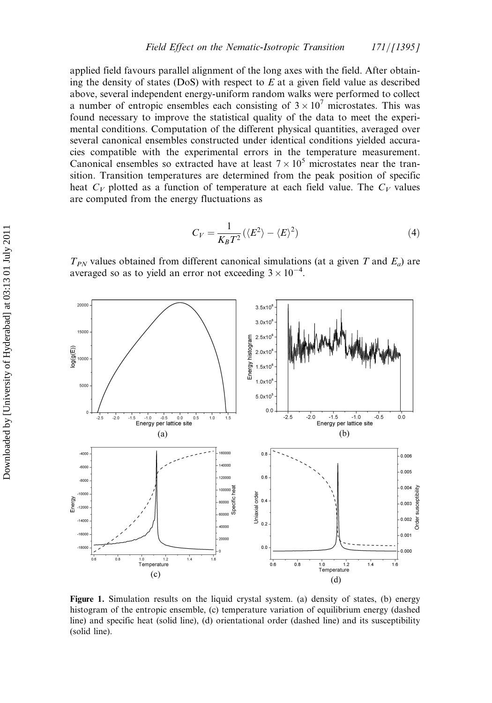applied field favours parallel alignment of the long axes with the field. After obtaining the density of states (DoS) with respect to  $E$  at a given field value as described above, several independent energy-uniform random walks were performed to collect a number of entropic ensembles each consisting of  $3 \times 10^7$  microstates. This was found necessary to improve the statistical quality of the data to meet the experimental conditions. Computation of the different physical quantities, averaged over several canonical ensembles constructed under identical conditions yielded accuracies compatible with the experimental errors in the temperature measurement. Canonical ensembles so extracted have at least  $7 \times 10^5$  microstates near the transition. Transition temperatures are determined from the peak position of specific heat  $C_V$  plotted as a function of temperature at each field value. The  $C_V$  values are computed from the energy fluctuations as

$$
C_V = \frac{1}{K_B T^2} (\langle E^2 \rangle - \langle E \rangle^2)
$$
 (4)

 $T_{PN}$  values obtained from different canonical simulations (at a given T and  $E_a$ ) are averaged so as to yield an error not exceeding  $3 \times 10^{-4}$ .



Figure 1. Simulation results on the liquid crystal system. (a) density of states, (b) energy histogram of the entropic ensemble, (c) temperature variation of equilibrium energy (dashed line) and specific heat (solid line), (d) orientational order (dashed line) and its susceptibility (solid line).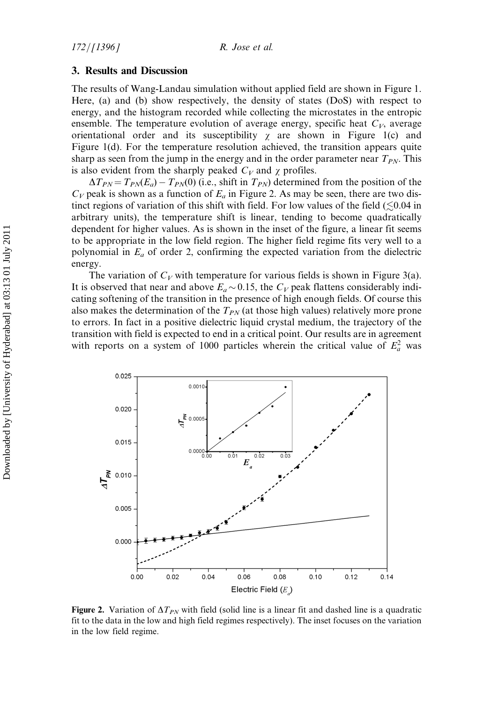### 3. Results and Discussion

The results of Wang-Landau simulation without applied field are shown in Figure 1. Here, (a) and (b) show respectively, the density of states (DoS) with respect to energy, and the histogram recorded while collecting the microstates in the entropic ensemble. The temperature evolution of average energy, specific heat  $C_V$ , average orientational order and its susceptibility  $\chi$  are shown in Figure 1(c) and Figure 1(d). For the temperature resolution achieved, the transition appears quite sharp as seen from the jump in the energy and in the order parameter near  $T_{PN}$ . This is also evident from the sharply peaked  $C_V$  and  $\chi$  profiles.

 $\Delta T_{PN} = T_{PN}(E_a) - T_{PN}(0)$  (i.e., shift in  $T_{PN}$ ) determined from the position of the  $C_V$  peak is shown as a function of  $E_a$  in Figure 2. As may be seen, there are two distinct regions of variation of this shift with field. For low values of the field  $(\leq 0.04$  in arbitrary units), the temperature shift is linear, tending to become quadratically dependent for higher values. As is shown in the inset of the figure, a linear fit seems to be appropriate in the low field region. The higher field regime fits very well to a polynomial in  $E_a$  of order 2, confirming the expected variation from the dielectric energy.

The variation of  $C_V$  with temperature for various fields is shown in Figure 3(a). It is observed that near and above  $E_a \sim 0.15$ , the  $C_V$  peak flattens considerably indicating softening of the transition in the presence of high enough fields. Of course this also makes the determination of the  $T_{PN}$  (at those high values) relatively more prone to errors. In fact in a positive dielectric liquid crystal medium, the trajectory of the transition with field is expected to end in a critical point. Our results are in agreement with reports on a system of 1000 particles wherein the critical value of  $E_a^2$  was



**Figure 2.** Variation of  $\Delta T_{PN}$  with field (solid line is a linear fit and dashed line is a quadratic fit to the data in the low and high field regimes respectively). The inset focuses on the variation in the low field regime.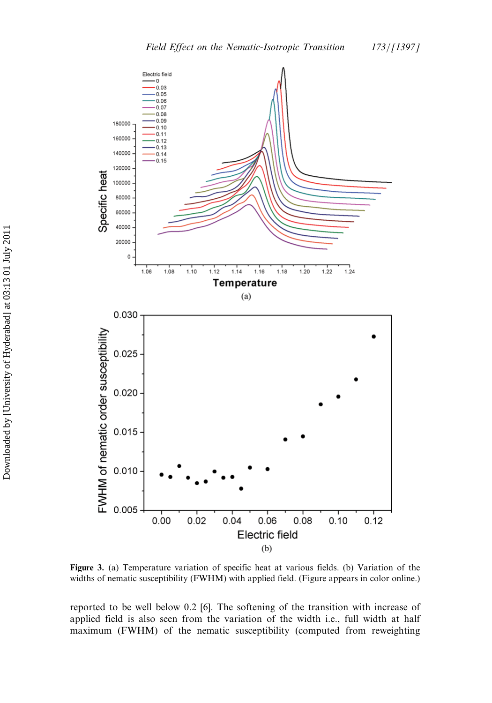

Figure 3. (a) Temperature variation of specific heat at various fields. (b) Variation of the widths of nematic susceptibility (FWHM) with applied field. (Figure appears in color online.)

 $0.06$ 

Electric field  $(b)$ 

 $0.08$ 

 $0.10$ 

 $0.12$ 

 $0.04$ 

reported to be well below 0.2 [6]. The softening of the transition with increase of applied field is also seen from the variation of the width i.e., full width at half maximum (FWHM) of the nematic susceptibility (computed from reweighting

Specific heat

FWHM of nematic order susceptibility

0.005

 $0.00$ 

 $0.02$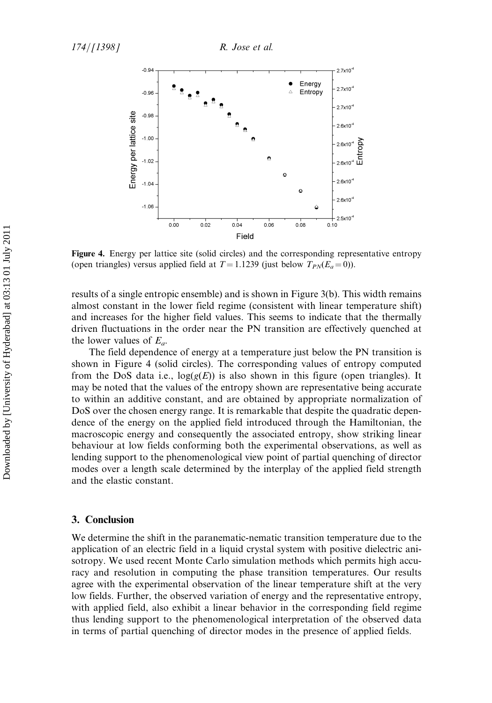

Figure 4. Energy per lattice site (solid circles) and the corresponding representative entropy (open triangles) versus applied field at  $T = 1.1239$  (just below  $T_{PN}(E_a = 0)$ ).

results of a single entropic ensemble) and is shown in Figure 3(b). This width remains almost constant in the lower field regime (consistent with linear temperature shift) and increases for the higher field values. This seems to indicate that the thermally driven fluctuations in the order near the PN transition are effectively quenched at the lower values of  $E_a$ .

The field dependence of energy at a temperature just below the PN transition is shown in Figure 4 (solid circles). The corresponding values of entropy computed from the DoS data i.e.,  $log(g(E))$  is also shown in this figure (open triangles). It may be noted that the values of the entropy shown are representative being accurate to within an additive constant, and are obtained by appropriate normalization of DoS over the chosen energy range. It is remarkable that despite the quadratic dependence of the energy on the applied field introduced through the Hamiltonian, the macroscopic energy and consequently the associated entropy, show striking linear behaviour at low fields conforming both the experimental observations, as well as lending support to the phenomenological view point of partial quenching of director modes over a length scale determined by the interplay of the applied field strength and the elastic constant.

## 3. Conclusion

We determine the shift in the paranematic-nematic transition temperature due to the application of an electric field in a liquid crystal system with positive dielectric anisotropy. We used recent Monte Carlo simulation methods which permits high accuracy and resolution in computing the phase transition temperatures. Our results agree with the experimental observation of the linear temperature shift at the very low fields. Further, the observed variation of energy and the representative entropy, with applied field, also exhibit a linear behavior in the corresponding field regime thus lending support to the phenomenological interpretation of the observed data in terms of partial quenching of director modes in the presence of applied fields.